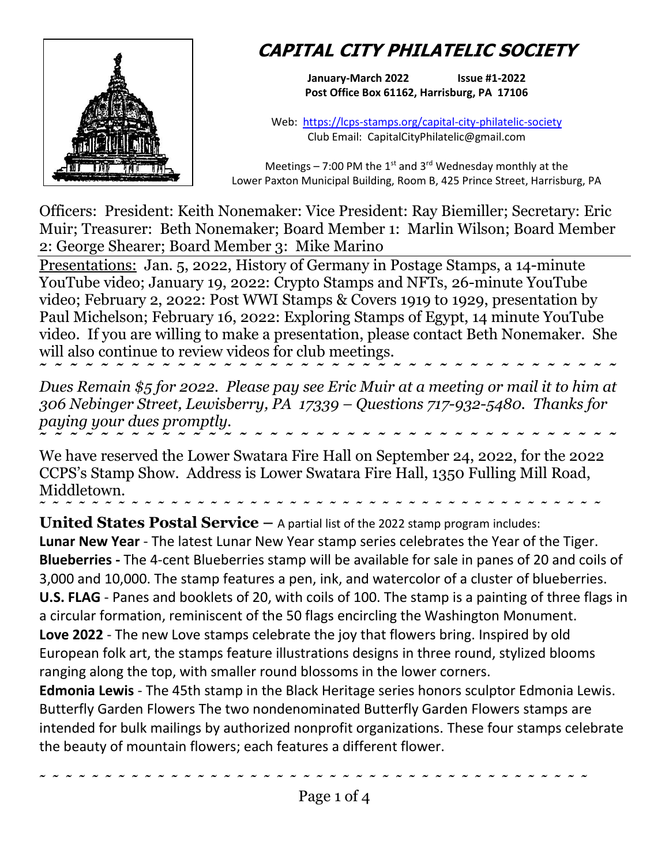

## **CAPITAL CITY PHILATELIC SOCIETY**

**January-March 2022 Issue #1-2022 Post Office Box 61162, Harrisburg, PA 17106**

Web: <https://lcps-stamps.org/capital-city-philatelic-society> Club Email: CapitalCityPhilatelic@gmail.com

Meetings – 7:00 PM the 1<sup>st</sup> and 3<sup>rd</sup> Wednesday monthly at the Lower Paxton Municipal Building, Room B, 425 Prince Street, Harrisburg, PA

Officers: President: Keith Nonemaker: Vice President: Ray Biemiller; Secretary: Eric Muir; Treasurer: Beth Nonemaker; Board Member 1: Marlin Wilson; Board Member 2: George Shearer; Board Member 3: Mike Marino

Presentations: Jan. 5, 2022, History of Germany in Postage Stamps, a 14-minute YouTube video; January 19, 2022: Crypto Stamps and NFTs, 26-minute YouTube video; February 2, 2022: Post WWI Stamps & Covers 1919 to 1929, presentation by Paul Michelson; February 16, 2022: Exploring Stamps of Egypt, 14 minute YouTube video. If you are willing to make a presentation, please contact Beth Nonemaker. She will also continue to review videos for club meetings.

**˜ ˜ ˜ ˜ ˜ ˜ ˜ ˜ ˜ ˜ ˜ ˜ ˜ ˜ ˜ ˜ ˜ ˜ ˜ ˜ ˜ ˜ ˜ ˜ ˜ ˜ ˜ ˜ ˜ ˜ ˜ ˜ ˜ ˜ ˜ ˜ ˜ ˜**  *Dues Remain \$5 for 2022. Please pay see Eric Muir at a meeting or mail it to him at 306 Nebinger Street, Lewisberry, PA 17339 – Questions 717-932-5480. Thanks for paying your dues promptly.* **˜ ˜ ˜ ˜ ˜ ˜ ˜ ˜ ˜ ˜ ˜ ˜ ˜ ˜ ˜ ˜ ˜ ˜ ˜ ˜ ˜ ˜ ˜ ˜ ˜ ˜ ˜ ˜ ˜ ˜ ˜ ˜ ˜ ˜ ˜ ˜ ˜ ˜** 

We have reserved the Lower Swatara Fire Hall on September 24, 2022, for the 2022 CCPS's Stamp Show. Address is Lower Swatara Fire Hall, 1350 Fulling Mill Road, Middletown.

**˜ ˜ ˜ ˜ ˜ ˜ ˜ ˜ ˜ ˜ ˜ ˜ ˜ ˜ ˜ ˜ ˜ ˜ ˜ ˜ ˜ ˜ ˜ ˜ ˜ ˜ ˜ ˜ ˜ ˜ ˜ ˜ ˜ ˜ ˜ ˜ ˜ ˜ ˜ ˜ ˜ ˜ ˜ United States Postal Service –** A partial list of the 2022 stamp program includes: **Lunar New Year** - The latest Lunar New Year stamp series celebrates the Year of the Tiger. **Blueberries -** The 4-cent Blueberries stamp will be available for sale in panes of 20 and coils of 3,000 and 10,000. The stamp features a pen, ink, and watercolor of a cluster of blueberries. **U.S. FLAG** - Panes and booklets of 20, with coils of 100. The stamp is a painting of three flags in a circular formation, reminiscent of the 50 flags encircling the Washington Monument. **Love 2022** - The new Love stamps celebrate the joy that flowers bring. Inspired by old European folk art, the stamps feature illustrations designs in three round, stylized blooms ranging along the top, with smaller round blossoms in the lower corners.

**Edmonia Lewis** - The 45th stamp in the Black Heritage series honors sculptor Edmonia Lewis. Butterfly Garden Flowers The two nondenominated Butterfly Garden Flowers stamps are intended for bulk mailings by authorized nonprofit organizations. These four stamps celebrate the beauty of mountain flowers; each features a different flower.

**˜ ˜ ˜ ˜ ˜ ˜ ˜ ˜ ˜ ˜ ˜ ˜ ˜ ˜ ˜ ˜ ˜ ˜ ˜ ˜ ˜ ˜ ˜ ˜ ˜ ˜ ˜ ˜ ˜ ˜ ˜ ˜ ˜ ˜ ˜ ˜ ˜ ˜ ˜ ˜ ˜ ˜**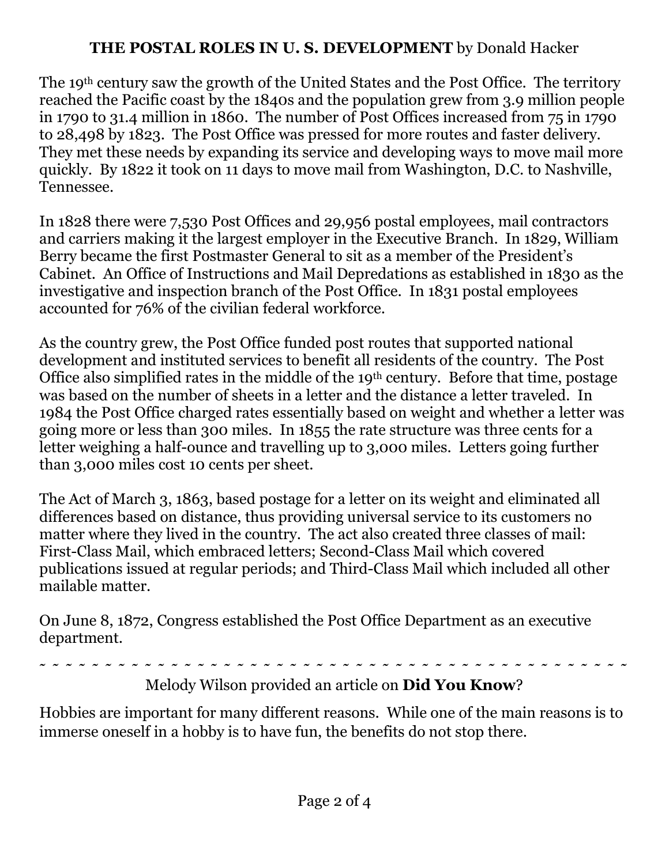## **THE POSTAL ROLES IN U. S. DEVELOPMENT** by Donald Hacker

The 19th century saw the growth of the United States and the Post Office. The territory reached the Pacific coast by the 1840s and the population grew from 3.9 million people in 1790 to 31.4 million in 1860. The number of Post Offices increased from 75 in 1790 to 28,498 by 1823. The Post Office was pressed for more routes and faster delivery. They met these needs by expanding its service and developing ways to move mail more quickly. By 1822 it took on 11 days to move mail from Washington, D.C. to Nashville, Tennessee.

In 1828 there were 7,530 Post Offices and 29,956 postal employees, mail contractors and carriers making it the largest employer in the Executive Branch. In 1829, William Berry became the first Postmaster General to sit as a member of the President's Cabinet. An Office of Instructions and Mail Depredations as established in 1830 as the investigative and inspection branch of the Post Office. In 1831 postal employees accounted for 76% of the civilian federal workforce.

As the country grew, the Post Office funded post routes that supported national development and instituted services to benefit all residents of the country. The Post Office also simplified rates in the middle of the 19th century. Before that time, postage was based on the number of sheets in a letter and the distance a letter traveled. In 1984 the Post Office charged rates essentially based on weight and whether a letter was going more or less than 300 miles. In 1855 the rate structure was three cents for a letter weighing a half-ounce and travelling up to 3,000 miles. Letters going further than 3,000 miles cost 10 cents per sheet.

The Act of March 3, 1863, based postage for a letter on its weight and eliminated all differences based on distance, thus providing universal service to its customers no matter where they lived in the country. The act also created three classes of mail: First-Class Mail, which embraced letters; Second-Class Mail which covered publications issued at regular periods; and Third-Class Mail which included all other mailable matter.

On June 8, 1872, Congress established the Post Office Department as an executive department.

**˜ ˜ ˜ ˜ ˜ ˜ ˜ ˜ ˜ ˜ ˜ ˜ ˜ ˜ ˜ ˜ ˜ ˜ ˜ ˜ ˜ ˜ ˜ ˜ ˜ ˜ ˜ ˜ ˜ ˜ ˜ ˜ ˜ ˜ ˜ ˜ ˜ ˜ ˜ ˜ ˜ ˜ ˜ ˜ ˜** 

Melody Wilson provided an article on **Did You Know**?

Hobbies are important for many different reasons. While one of the main reasons is to immerse oneself in a hobby is to have fun, the benefits do not stop there.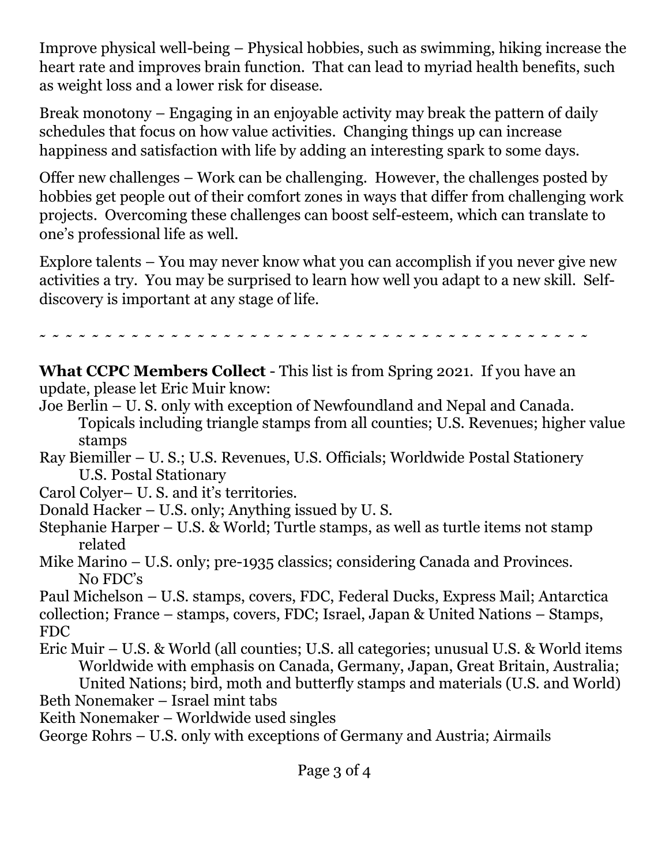Improve physical well-being – Physical hobbies, such as swimming, hiking increase the heart rate and improves brain function. That can lead to myriad health benefits, such as weight loss and a lower risk for disease.

Break monotony – Engaging in an enjoyable activity may break the pattern of daily schedules that focus on how value activities. Changing things up can increase happiness and satisfaction with life by adding an interesting spark to some days.

Offer new challenges – Work can be challenging. However, the challenges posted by hobbies get people out of their comfort zones in ways that differ from challenging work projects. Overcoming these challenges can boost self-esteem, which can translate to one's professional life as well.

Explore talents – You may never know what you can accomplish if you never give new activities a try. You may be surprised to learn how well you adapt to a new skill. Selfdiscovery is important at any stage of life.

**˜ ˜ ˜ ˜ ˜ ˜ ˜ ˜ ˜ ˜ ˜ ˜ ˜ ˜ ˜ ˜ ˜ ˜ ˜ ˜ ˜ ˜ ˜ ˜ ˜ ˜ ˜ ˜ ˜ ˜ ˜ ˜ ˜ ˜ ˜ ˜ ˜ ˜ ˜ ˜ ˜ ˜** 

**What CCPC Members Collect** - This list is from Spring 2021. If you have an update, please let Eric Muir know:

- Joe Berlin U. S. only with exception of Newfoundland and Nepal and Canada. Topicals including triangle stamps from all counties; U.S. Revenues; higher value stamps
- Ray Biemiller U. S.; U.S. Revenues, U.S. Officials; Worldwide Postal Stationery U.S. Postal Stationary
- Carol Colyer– U. S. and it's territories.
- Donald Hacker U.S. only; Anything issued by U. S.
- Stephanie Harper U.S. & World; Turtle stamps, as well as turtle items not stamp related
- Mike Marino U.S. only; pre-1935 classics; considering Canada and Provinces. No FDC's

Paul Michelson – U.S. stamps, covers, FDC, Federal Ducks, Express Mail; Antarctica collection; France – stamps, covers, FDC; Israel, Japan & United Nations – Stamps, FDC

- Eric Muir U.S. & World (all counties; U.S. all categories; unusual U.S. & World items Worldwide with emphasis on Canada, Germany, Japan, Great Britain, Australia; United Nations; bird, moth and butterfly stamps and materials (U.S. and World)
- Beth Nonemaker Israel mint tabs
- Keith Nonemaker Worldwide used singles

George Rohrs – U.S. only with exceptions of Germany and Austria; Airmails